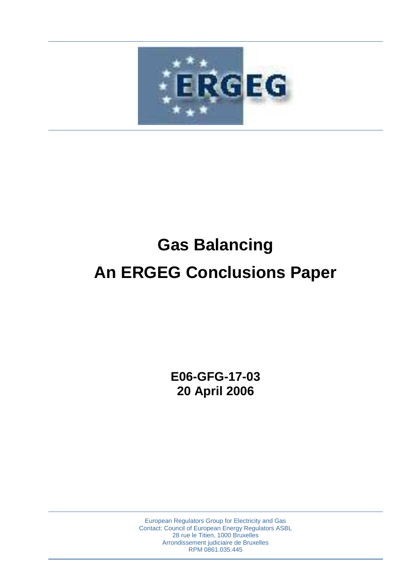

# **Gas Balancing**

# **An ERGEG Conclusions Paper**

**E06-GFG-17-03 20 April 2006** 

European Regulators Group for Electricity and Gas Contact: Council of European Energy Regulators ASBL 28 rue le Titien, 1000 Bruxelles Arrondissement judiciaire de Bruxelles RPM 0861.035.445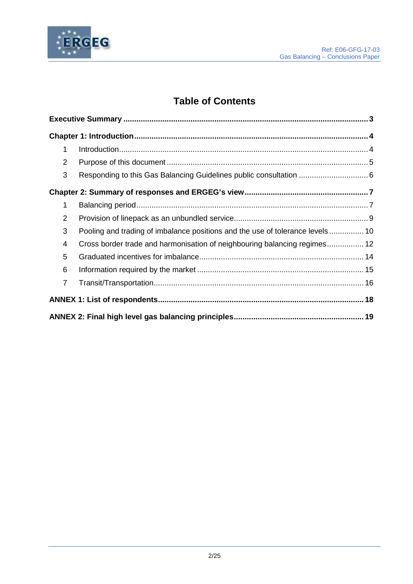

# **Table of Contents**

| 1              |                                                                               |  |
|----------------|-------------------------------------------------------------------------------|--|
| 2              |                                                                               |  |
| 3              |                                                                               |  |
|                |                                                                               |  |
| 1              |                                                                               |  |
| $\overline{2}$ |                                                                               |  |
| 3              | Pooling and trading of imbalance positions and the use of tolerance levels 10 |  |
| 4              | Cross border trade and harmonisation of neighbouring balancing regimes 12     |  |
| 5              |                                                                               |  |
| 6              |                                                                               |  |
| $\overline{7}$ |                                                                               |  |
|                |                                                                               |  |
|                |                                                                               |  |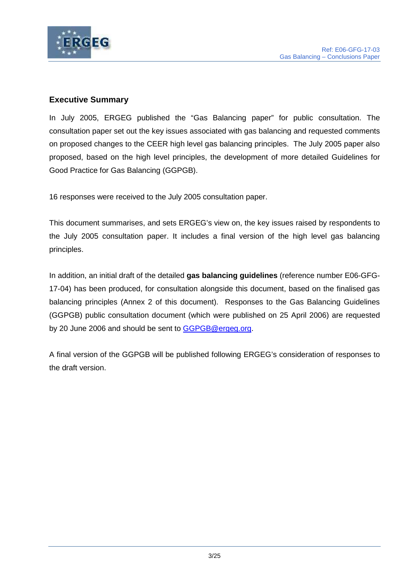

# **Executive Summary**

In July 2005, ERGEG published the "Gas Balancing paper" for public consultation. The consultation paper set out the key issues associated with gas balancing and requested comments on proposed changes to the CEER high level gas balancing principles. The July 2005 paper also proposed, based on the high level principles, the development of more detailed Guidelines for Good Practice for Gas Balancing (GGPGB).

16 responses were received to the July 2005 consultation paper.

This document summarises, and sets ERGEG's view on, the key issues raised by respondents to the July 2005 consultation paper. It includes a final version of the high level gas balancing principles.

In addition, an initial draft of the detailed **gas balancing guidelines** (reference number E06-GFG-17-04) has been produced, for consultation alongside this document, based on the finalised gas balancing principles (Annex 2 of this document). Responses to the Gas Balancing Guidelines (GGPGB) public consultation document (which were published on 25 April 2006) are requested by 20 June 2006 and should be sent to GGPGB@ergeg.org.

A final version of the GGPGB will be published following ERGEG's consideration of responses to the draft version.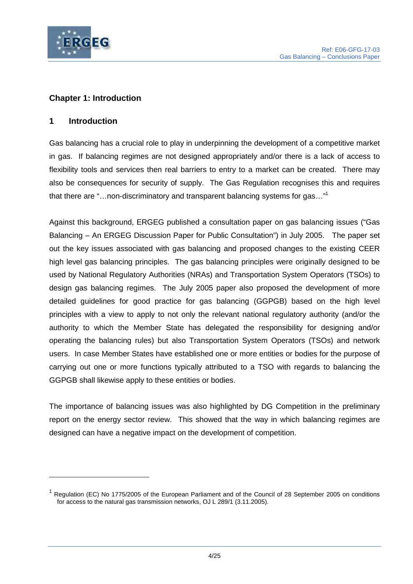

# **Chapter 1: Introduction**

## **1 Introduction**

Gas balancing has a crucial role to play in underpinning the development of a competitive market in gas. If balancing regimes are not designed appropriately and/or there is a lack of access to flexibility tools and services then real barriers to entry to a market can be created. There may also be consequences for security of supply. The Gas Regulation recognises this and requires that there are "...non-discriminatory and transparent balancing systems for gas..."

Against this background, ERGEG published a consultation paper on gas balancing issues ("Gas Balancing – An ERGEG Discussion Paper for Public Consultation") in July 2005. The paper set out the key issues associated with gas balancing and proposed changes to the existing CEER high level gas balancing principles. The gas balancing principles were originally designed to be used by National Regulatory Authorities (NRAs) and Transportation System Operators (TSOs) to design gas balancing regimes. The July 2005 paper also proposed the development of more detailed guidelines for good practice for gas balancing (GGPGB) based on the high level principles with a view to apply to not only the relevant national regulatory authority (and/or the authority to which the Member State has delegated the responsibility for designing and/or operating the balancing rules) but also Transportation System Operators (TSOs) and network users. In case Member States have established one or more entities or bodies for the purpose of carrying out one or more functions typically attributed to a TSO with regards to balancing the GGPGB shall likewise apply to these entities or bodies.

The importance of balancing issues was also highlighted by DG Competition in the preliminary report on the energy sector review. This showed that the way in which balancing regimes are designed can have a negative impact on the development of competition.

<sup>&</sup>lt;sup>1</sup> Regulation (EC) No 1775/2005 of the European Parliament and of the Council of 28 September 2005 on conditions for access to the natural gas transmission networks, OJ L 289/1 (3.11.2005).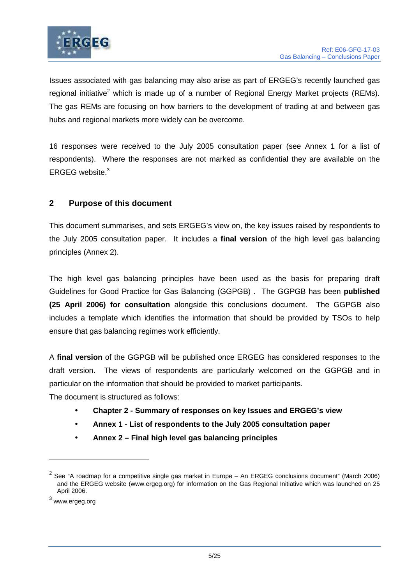

Issues associated with gas balancing may also arise as part of ERGEG's recently launched gas regional initiative<sup>2</sup> which is made up of a number of Regional Energy Market projects (REMs). The gas REMs are focusing on how barriers to the development of trading at and between gas hubs and regional markets more widely can be overcome.

16 responses were received to the July 2005 consultation paper (see Annex 1 for a list of respondents). Where the responses are not marked as confidential they are available on the ERGEG website.<sup>3</sup>

# **2 Purpose of this document**

This document summarises, and sets ERGEG's view on, the key issues raised by respondents to the July 2005 consultation paper. It includes a **final version** of the high level gas balancing principles (Annex 2).

The high level gas balancing principles have been used as the basis for preparing draft Guidelines for Good Practice for Gas Balancing (GGPGB) . The GGPGB has been **published (25 April 2006) for consultation** alongside this conclusions document. The GGPGB also includes a template which identifies the information that should be provided by TSOs to help ensure that gas balancing regimes work efficiently.

A **final version** of the GGPGB will be published once ERGEG has considered responses to the draft version. The views of respondents are particularly welcomed on the GGPGB and in particular on the information that should be provided to market participants.

The document is structured as follows:

- **Chapter 2 Summary of responses on key Issues and ERGEG's view**
- **Annex 1 List of respondents to the July 2005 consultation paper**
- **Annex 2 Final high level gas balancing principles**

 $\overline{a}$ 

<sup>&</sup>lt;sup>2</sup> See "A roadmap for a competitive single gas market in Europe – An ERGEG conclusions document" (March 2006) and the ERGEG website (www.ergeg.org) for information on the Gas Regional Initiative which was launched on 25 April 2006.

 $^3$  www.ergeg.org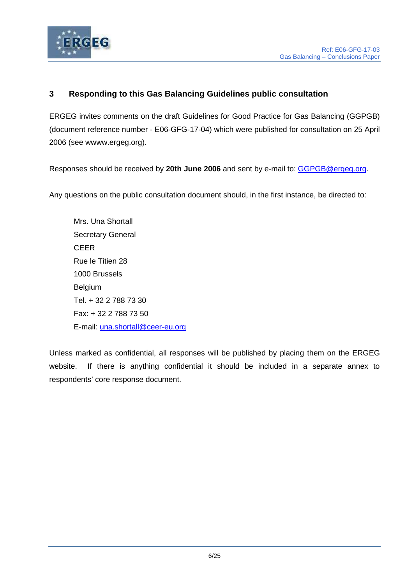

# **3 Responding to this Gas Balancing Guidelines public consultation**

ERGEG invites comments on the draft Guidelines for Good Practice for Gas Balancing (GGPGB) (document reference number - E06-GFG-17-04) which were published for consultation on 25 April 2006 (see wwww.ergeg.org).

Responses should be received by **20th June 2006** and sent by e-mail to: GGPGB@ergeg.org.

Any questions on the public consultation document should, in the first instance, be directed to:

Mrs. Una Shortall Secretary General CEER Rue le Titien 28 1000 Brussels **Belgium** Tel. + 32 2 788 73 30 Fax: + 32 2 788 73 50 E-mail: una.shortall@ceer-eu.org

Unless marked as confidential, all responses will be published by placing them on the ERGEG website. If there is anything confidential it should be included in a separate annex to respondents' core response document.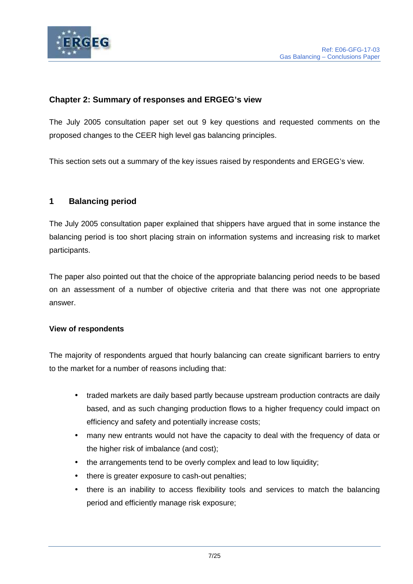

# **Chapter 2: Summary of responses and ERGEG's view**

The July 2005 consultation paper set out 9 key questions and requested comments on the proposed changes to the CEER high level gas balancing principles.

This section sets out a summary of the key issues raised by respondents and ERGEG's view.

## **1 Balancing period**

The July 2005 consultation paper explained that shippers have argued that in some instance the balancing period is too short placing strain on information systems and increasing risk to market participants.

The paper also pointed out that the choice of the appropriate balancing period needs to be based on an assessment of a number of objective criteria and that there was not one appropriate answer.

## **View of respondents**

The majority of respondents argued that hourly balancing can create significant barriers to entry to the market for a number of reasons including that:

- traded markets are daily based partly because upstream production contracts are daily based, and as such changing production flows to a higher frequency could impact on efficiency and safety and potentially increase costs;
- many new entrants would not have the capacity to deal with the frequency of data or the higher risk of imbalance (and cost);
- the arrangements tend to be overly complex and lead to low liquidity;
- there is greater exposure to cash-out penalties;
- there is an inability to access flexibility tools and services to match the balancing period and efficiently manage risk exposure;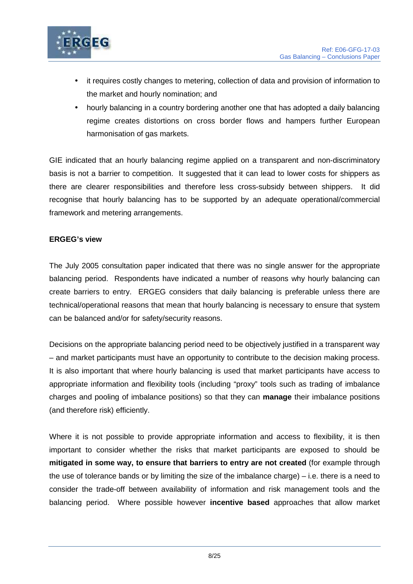

- it requires costly changes to metering, collection of data and provision of information to the market and hourly nomination; and
- hourly balancing in a country bordering another one that has adopted a daily balancing regime creates distortions on cross border flows and hampers further European harmonisation of gas markets.

GIE indicated that an hourly balancing regime applied on a transparent and non-discriminatory basis is not a barrier to competition. It suggested that it can lead to lower costs for shippers as there are clearer responsibilities and therefore less cross-subsidy between shippers. It did recognise that hourly balancing has to be supported by an adequate operational/commercial framework and metering arrangements.

## **ERGEG's view**

The July 2005 consultation paper indicated that there was no single answer for the appropriate balancing period. Respondents have indicated a number of reasons why hourly balancing can create barriers to entry. ERGEG considers that daily balancing is preferable unless there are technical/operational reasons that mean that hourly balancing is necessary to ensure that system can be balanced and/or for safety/security reasons.

Decisions on the appropriate balancing period need to be objectively justified in a transparent way – and market participants must have an opportunity to contribute to the decision making process. It is also important that where hourly balancing is used that market participants have access to appropriate information and flexibility tools (including "proxy" tools such as trading of imbalance charges and pooling of imbalance positions) so that they can **manage** their imbalance positions (and therefore risk) efficiently.

Where it is not possible to provide appropriate information and access to flexibility, it is then important to consider whether the risks that market participants are exposed to should be **mitigated in some way, to ensure that barriers to entry are not created** (for example through the use of tolerance bands or by limiting the size of the imbalance charge) – i.e. there is a need to consider the trade-off between availability of information and risk management tools and the balancing period. Where possible however **incentive based** approaches that allow market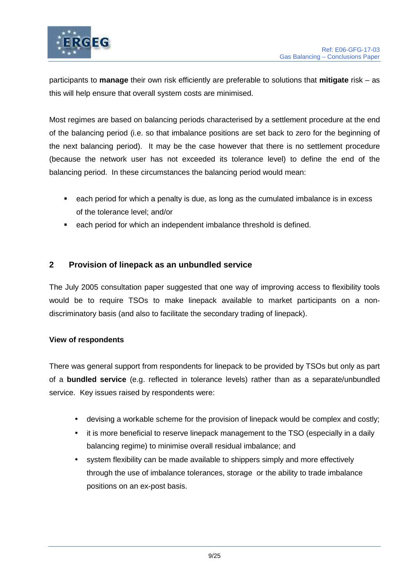

participants to **manage** their own risk efficiently are preferable to solutions that **mitigate** risk – as this will help ensure that overall system costs are minimised.

Most regimes are based on balancing periods characterised by a settlement procedure at the end of the balancing period (i.e. so that imbalance positions are set back to zero for the beginning of the next balancing period). It may be the case however that there is no settlement procedure (because the network user has not exceeded its tolerance level) to define the end of the balancing period. In these circumstances the balancing period would mean:

- each period for which a penalty is due, as long as the cumulated imbalance is in excess of the tolerance level; and/or
- **EXEC** each period for which an independent imbalance threshold is defined.

# **2 Provision of linepack as an unbundled service**

The July 2005 consultation paper suggested that one way of improving access to flexibility tools would be to require TSOs to make linepack available to market participants on a nondiscriminatory basis (and also to facilitate the secondary trading of linepack).

## **View of respondents**

There was general support from respondents for linepack to be provided by TSOs but only as part of a **bundled service** (e.g. reflected in tolerance levels) rather than as a separate/unbundled service. Key issues raised by respondents were:

- devising a workable scheme for the provision of linepack would be complex and costly;
- it is more beneficial to reserve linepack management to the TSO (especially in a daily balancing regime) to minimise overall residual imbalance; and
- system flexibility can be made available to shippers simply and more effectively through the use of imbalance tolerances, storage or the ability to trade imbalance positions on an ex-post basis.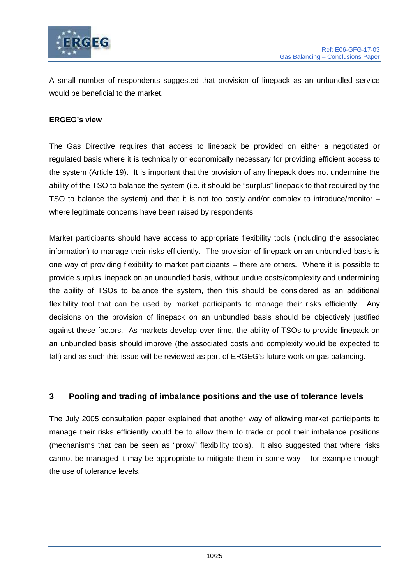

A small number of respondents suggested that provision of linepack as an unbundled service would be beneficial to the market.

## **ERGEG's view**

The Gas Directive requires that access to linepack be provided on either a negotiated or regulated basis where it is technically or economically necessary for providing efficient access to the system (Article 19). It is important that the provision of any linepack does not undermine the ability of the TSO to balance the system (i.e. it should be "surplus" linepack to that required by the TSO to balance the system) and that it is not too costly and/or complex to introduce/monitor – where legitimate concerns have been raised by respondents.

Market participants should have access to appropriate flexibility tools (including the associated information) to manage their risks efficiently. The provision of linepack on an unbundled basis is one way of providing flexibility to market participants – there are others. Where it is possible to provide surplus linepack on an unbundled basis, without undue costs/complexity and undermining the ability of TSOs to balance the system, then this should be considered as an additional flexibility tool that can be used by market participants to manage their risks efficiently. Any decisions on the provision of linepack on an unbundled basis should be objectively justified against these factors. As markets develop over time, the ability of TSOs to provide linepack on an unbundled basis should improve (the associated costs and complexity would be expected to fall) and as such this issue will be reviewed as part of ERGEG's future work on gas balancing.

## **3 Pooling and trading of imbalance positions and the use of tolerance levels**

The July 2005 consultation paper explained that another way of allowing market participants to manage their risks efficiently would be to allow them to trade or pool their imbalance positions (mechanisms that can be seen as "proxy" flexibility tools). It also suggested that where risks cannot be managed it may be appropriate to mitigate them in some way – for example through the use of tolerance levels.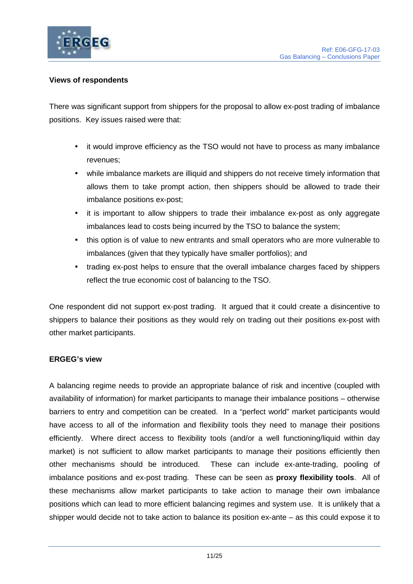



## **Views of respondents**

There was significant support from shippers for the proposal to allow ex-post trading of imbalance positions. Key issues raised were that:

- it would improve efficiency as the TSO would not have to process as many imbalance revenues;
- while imbalance markets are illiquid and shippers do not receive timely information that allows them to take prompt action, then shippers should be allowed to trade their imbalance positions ex-post;
- it is important to allow shippers to trade their imbalance ex-post as only aggregate imbalances lead to costs being incurred by the TSO to balance the system;
- this option is of value to new entrants and small operators who are more vulnerable to imbalances (given that they typically have smaller portfolios); and
- trading ex-post helps to ensure that the overall imbalance charges faced by shippers reflect the true economic cost of balancing to the TSO.

One respondent did not support ex-post trading. It argued that it could create a disincentive to shippers to balance their positions as they would rely on trading out their positions ex-post with other market participants.

## **ERGEG's view**

A balancing regime needs to provide an appropriate balance of risk and incentive (coupled with availability of information) for market participants to manage their imbalance positions – otherwise barriers to entry and competition can be created. In a "perfect world" market participants would have access to all of the information and flexibility tools they need to manage their positions efficiently. Where direct access to flexibility tools (and/or a well functioning/liquid within day market) is not sufficient to allow market participants to manage their positions efficiently then other mechanisms should be introduced. These can include ex-ante-trading, pooling of imbalance positions and ex-post trading. These can be seen as **proxy flexibility tools**. All of these mechanisms allow market participants to take action to manage their own imbalance positions which can lead to more efficient balancing regimes and system use. It is unlikely that a shipper would decide not to take action to balance its position ex-ante – as this could expose it to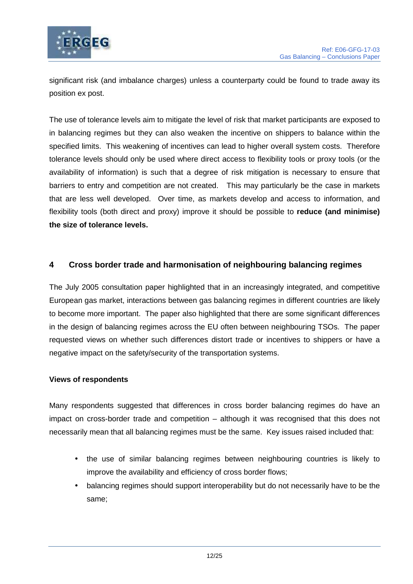

significant risk (and imbalance charges) unless a counterparty could be found to trade away its position ex post.

The use of tolerance levels aim to mitigate the level of risk that market participants are exposed to in balancing regimes but they can also weaken the incentive on shippers to balance within the specified limits. This weakening of incentives can lead to higher overall system costs. Therefore tolerance levels should only be used where direct access to flexibility tools or proxy tools (or the availability of information) is such that a degree of risk mitigation is necessary to ensure that barriers to entry and competition are not created. This may particularly be the case in markets that are less well developed. Over time, as markets develop and access to information, and flexibility tools (both direct and proxy) improve it should be possible to **reduce (and minimise) the size of tolerance levels.** 

# **4 Cross border trade and harmonisation of neighbouring balancing regimes**

The July 2005 consultation paper highlighted that in an increasingly integrated, and competitive European gas market, interactions between gas balancing regimes in different countries are likely to become more important. The paper also highlighted that there are some significant differences in the design of balancing regimes across the EU often between neighbouring TSOs. The paper requested views on whether such differences distort trade or incentives to shippers or have a negative impact on the safety/security of the transportation systems.

## **Views of respondents**

Many respondents suggested that differences in cross border balancing regimes do have an impact on cross-border trade and competition – although it was recognised that this does not necessarily mean that all balancing regimes must be the same. Key issues raised included that:

- the use of similar balancing regimes between neighbouring countries is likely to improve the availability and efficiency of cross border flows;
- balancing regimes should support interoperability but do not necessarily have to be the same;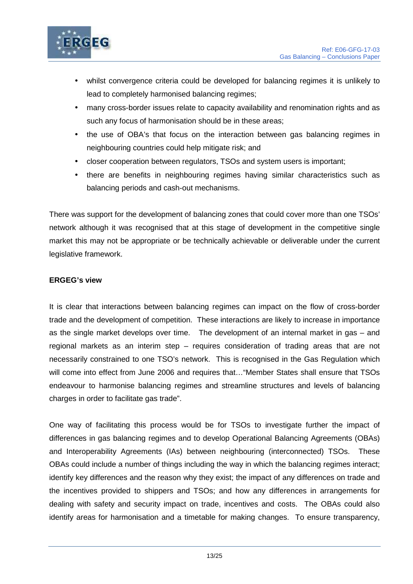

- whilst convergence criteria could be developed for balancing regimes it is unlikely to lead to completely harmonised balancing regimes;
- many cross-border issues relate to capacity availability and renomination rights and as such any focus of harmonisation should be in these areas;
- the use of OBA's that focus on the interaction between gas balancing regimes in neighbouring countries could help mitigate risk; and
- closer cooperation between regulators, TSOs and system users is important;
- there are benefits in neighbouring regimes having similar characteristics such as balancing periods and cash-out mechanisms.

There was support for the development of balancing zones that could cover more than one TSOs' network although it was recognised that at this stage of development in the competitive single market this may not be appropriate or be technically achievable or deliverable under the current legislative framework.

## **ERGEG's view**

It is clear that interactions between balancing regimes can impact on the flow of cross-border trade and the development of competition. These interactions are likely to increase in importance as the single market develops over time. The development of an internal market in gas – and regional markets as an interim step – requires consideration of trading areas that are not necessarily constrained to one TSO's network. This is recognised in the Gas Regulation which will come into effect from June 2006 and requires that…"Member States shall ensure that TSOs endeavour to harmonise balancing regimes and streamline structures and levels of balancing charges in order to facilitate gas trade".

One way of facilitating this process would be for TSOs to investigate further the impact of differences in gas balancing regimes and to develop Operational Balancing Agreements (OBAs) and Interoperability Agreements (IAs) between neighbouring (interconnected) TSOs. These OBAs could include a number of things including the way in which the balancing regimes interact; identify key differences and the reason why they exist; the impact of any differences on trade and the incentives provided to shippers and TSOs; and how any differences in arrangements for dealing with safety and security impact on trade, incentives and costs. The OBAs could also identify areas for harmonisation and a timetable for making changes. To ensure transparency,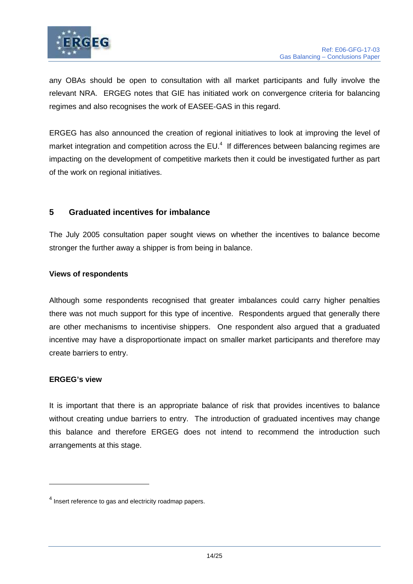

any OBAs should be open to consultation with all market participants and fully involve the relevant NRA. ERGEG notes that GIE has initiated work on convergence criteria for balancing regimes and also recognises the work of EASEE-GAS in this regard.

ERGEG has also announced the creation of regional initiatives to look at improving the level of market integration and competition across the  $EU^4$  If differences between balancing regimes are impacting on the development of competitive markets then it could be investigated further as part of the work on regional initiatives.

## **5 Graduated incentives for imbalance**

The July 2005 consultation paper sought views on whether the incentives to balance become stronger the further away a shipper is from being in balance.

## **Views of respondents**

Although some respondents recognised that greater imbalances could carry higher penalties there was not much support for this type of incentive. Respondents argued that generally there are other mechanisms to incentivise shippers. One respondent also argued that a graduated incentive may have a disproportionate impact on smaller market participants and therefore may create barriers to entry.

## **ERGEG's view**

It is important that there is an appropriate balance of risk that provides incentives to balance without creating undue barriers to entry. The introduction of graduated incentives may change this balance and therefore ERGEG does not intend to recommend the introduction such arrangements at this stage.

 $4$  Insert reference to gas and electricity roadmap papers.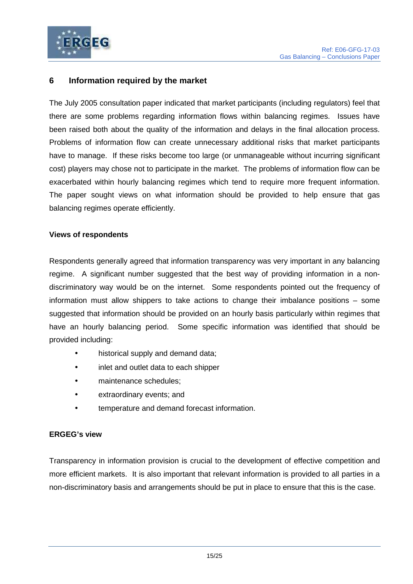

## **6 Information required by the market**

The July 2005 consultation paper indicated that market participants (including regulators) feel that there are some problems regarding information flows within balancing regimes. Issues have been raised both about the quality of the information and delays in the final allocation process. Problems of information flow can create unnecessary additional risks that market participants have to manage. If these risks become too large (or unmanageable without incurring significant cost) players may chose not to participate in the market. The problems of information flow can be exacerbated within hourly balancing regimes which tend to require more frequent information. The paper sought views on what information should be provided to help ensure that gas balancing regimes operate efficiently.

### **Views of respondents**

Respondents generally agreed that information transparency was very important in any balancing regime. A significant number suggested that the best way of providing information in a nondiscriminatory way would be on the internet. Some respondents pointed out the frequency of information must allow shippers to take actions to change their imbalance positions – some suggested that information should be provided on an hourly basis particularly within regimes that have an hourly balancing period. Some specific information was identified that should be provided including:

- historical supply and demand data;
- inlet and outlet data to each shipper
- maintenance schedules;
- extraordinary events; and
- temperature and demand forecast information.

## **ERGEG's view**

Transparency in information provision is crucial to the development of effective competition and more efficient markets. It is also important that relevant information is provided to all parties in a non-discriminatory basis and arrangements should be put in place to ensure that this is the case.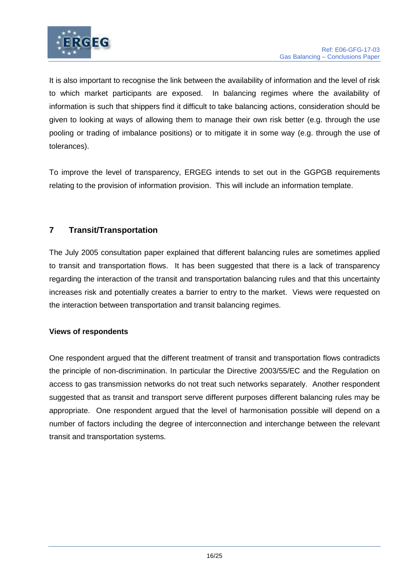

It is also important to recognise the link between the availability of information and the level of risk to which market participants are exposed. In balancing regimes where the availability of information is such that shippers find it difficult to take balancing actions, consideration should be given to looking at ways of allowing them to manage their own risk better (e.g. through the use pooling or trading of imbalance positions) or to mitigate it in some way (e.g. through the use of tolerances).

To improve the level of transparency, ERGEG intends to set out in the GGPGB requirements relating to the provision of information provision. This will include an information template.

# **7 Transit/Transportation**

The July 2005 consultation paper explained that different balancing rules are sometimes applied to transit and transportation flows. It has been suggested that there is a lack of transparency regarding the interaction of the transit and transportation balancing rules and that this uncertainty increases risk and potentially creates a barrier to entry to the market. Views were requested on the interaction between transportation and transit balancing regimes.

## **Views of respondents**

One respondent argued that the different treatment of transit and transportation flows contradicts the principle of non-discrimination. In particular the Directive 2003/55/EC and the Regulation on access to gas transmission networks do not treat such networks separately. Another respondent suggested that as transit and transport serve different purposes different balancing rules may be appropriate. One respondent argued that the level of harmonisation possible will depend on a number of factors including the degree of interconnection and interchange between the relevant transit and transportation systems.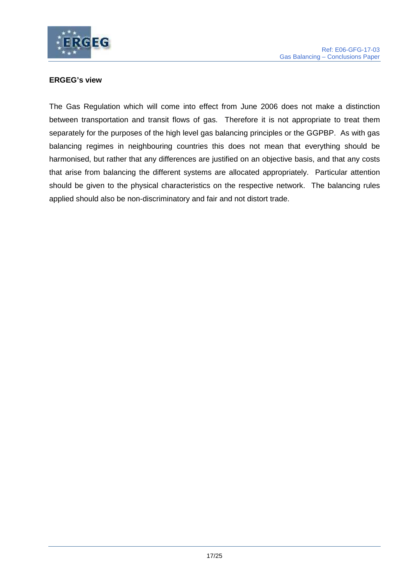

## **ERGEG's view**

The Gas Regulation which will come into effect from June 2006 does not make a distinction between transportation and transit flows of gas. Therefore it is not appropriate to treat them separately for the purposes of the high level gas balancing principles or the GGPBP. As with gas balancing regimes in neighbouring countries this does not mean that everything should be harmonised, but rather that any differences are justified on an objective basis, and that any costs that arise from balancing the different systems are allocated appropriately. Particular attention should be given to the physical characteristics on the respective network. The balancing rules applied should also be non-discriminatory and fair and not distort trade.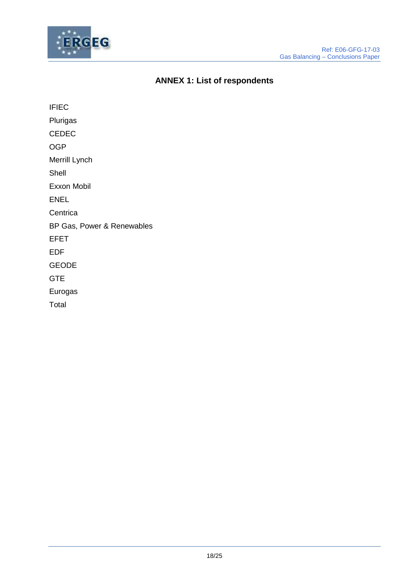

# **ANNEX 1: List of respondents**

IFIEC Plurigas CEDEC OGP Merrill Lynch Shell Exxon Mobil ENEL **Centrica** BP Gas, Power & Renewables EFET EDF GEODE GTE Eurogas Total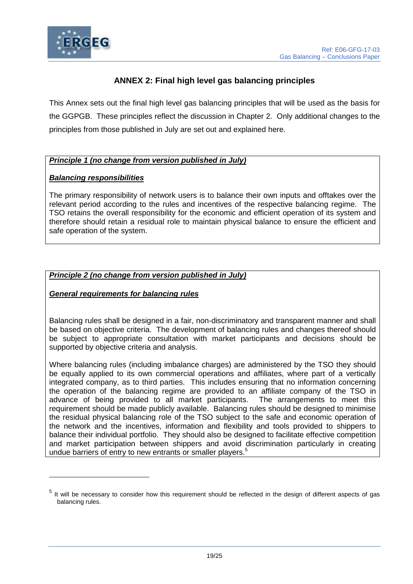

# **ANNEX 2: Final high level gas balancing principles**

This Annex sets out the final high level gas balancing principles that will be used as the basis for the GGPGB. These principles reflect the discussion in Chapter 2. Only additional changes to the principles from those published in July are set out and explained here.

## **Principle 1 (no change from version published in July)**

## **Balancing responsibilities**

The primary responsibility of network users is to balance their own inputs and offtakes over the relevant period according to the rules and incentives of the respective balancing regime. The TSO retains the overall responsibility for the economic and efficient operation of its system and therefore should retain a residual role to maintain physical balance to ensure the efficient and safe operation of the system.

## **Principle 2 (no change from version published in July)**

## **General requirements for balancing rules**

Balancing rules shall be designed in a fair, non-discriminatory and transparent manner and shall be based on objective criteria. The development of balancing rules and changes thereof should be subject to appropriate consultation with market participants and decisions should be supported by objective criteria and analysis.

Where balancing rules (including imbalance charges) are administered by the TSO they should be equally applied to its own commercial operations and affiliates, where part of a vertically integrated company, as to third parties. This includes ensuring that no information concerning the operation of the balancing regime are provided to an affiliate company of the TSO in advance of being provided to all market participants. The arrangements to meet this requirement should be made publicly available. Balancing rules should be designed to minimise the residual physical balancing role of the TSO subject to the safe and economic operation of the network and the incentives, information and flexibility and tools provided to shippers to balance their individual portfolio. They should also be designed to facilitate effective competition and market participation between shippers and avoid discrimination particularly in creating undue barriers of entry to new entrants or smaller players.<sup>5</sup>

 $5$  It will be necessary to consider how this requirement should be reflected in the design of different aspects of gas balancing rules.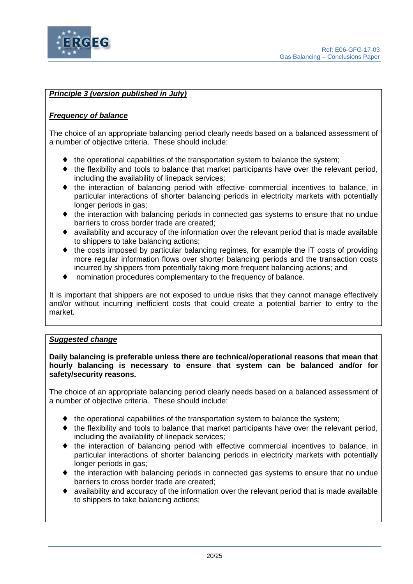

## **Principle 3 (version published in July)**

## **Frequency of balance**

The choice of an appropriate balancing period clearly needs based on a balanced assessment of a number of objective criteria. These should include:

- ♦ the operational capabilities of the transportation system to balance the system;
- $\bullet$  the flexibility and tools to balance that market participants have over the relevant period, including the availability of linepack services;
- ♦ the interaction of balancing period with effective commercial incentives to balance, in particular interactions of shorter balancing periods in electricity markets with potentially longer periods in gas;
- ♦ the interaction with balancing periods in connected gas systems to ensure that no undue barriers to cross border trade are created;
- ♦ availability and accuracy of the information over the relevant period that is made available to shippers to take balancing actions;
- ♦ the costs imposed by particular balancing regimes, for example the IT costs of providing more regular information flows over shorter balancing periods and the transaction costs incurred by shippers from potentially taking more frequent balancing actions; and
- nomination procedures complementary to the frequency of balance.

It is important that shippers are not exposed to undue risks that they cannot manage effectively and/or without incurring inefficient costs that could create a potential barrier to entry to the market.

## **Suggested change**

**Daily balancing is preferable unless there are technical/operational reasons that mean that hourly balancing is necessary to ensure that system can be balanced and/or for safety/security reasons.** 

The choice of an appropriate balancing period clearly needs based on a balanced assessment of a number of objective criteria. These should include:

- $\bullet$  the operational capabilities of the transportation system to balance the system;
- $\bullet$  the flexibility and tools to balance that market participants have over the relevant period, including the availability of linepack services;
- ♦ the interaction of balancing period with effective commercial incentives to balance, in particular interactions of shorter balancing periods in electricity markets with potentially longer periods in gas;
- ♦ the interaction with balancing periods in connected gas systems to ensure that no undue barriers to cross border trade are created;
- ♦ availability and accuracy of the information over the relevant period that is made available to shippers to take balancing actions;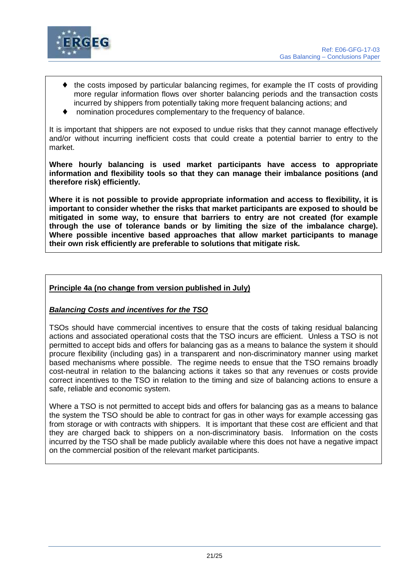



- the costs imposed by particular balancing regimes, for example the IT costs of providing more regular information flows over shorter balancing periods and the transaction costs incurred by shippers from potentially taking more frequent balancing actions; and
- ♦ nomination procedures complementary to the frequency of balance.

It is important that shippers are not exposed to undue risks that they cannot manage effectively and/or without incurring inefficient costs that could create a potential barrier to entry to the market.

**Where hourly balancing is used market participants have access to appropriate information and flexibility tools so that they can manage their imbalance positions (and therefore risk) efficiently.** 

**Where it is not possible to provide appropriate information and access to flexibility, it is important to consider whether the risks that market participants are exposed to should be mitigated in some way, to ensure that barriers to entry are not created (for example through the use of tolerance bands or by limiting the size of the imbalance charge). Where possible incentive based approaches that allow market participants to manage their own risk efficiently are preferable to solutions that mitigate risk.** 

## **Principle 4a (no change from version published in July)**

## **Balancing Costs and incentives for the TSO**

TSOs should have commercial incentives to ensure that the costs of taking residual balancing actions and associated operational costs that the TSO incurs are efficient. Unless a TSO is not permitted to accept bids and offers for balancing gas as a means to balance the system it should procure flexibility (including gas) in a transparent and non-discriminatory manner using market based mechanisms where possible. The regime needs to ensue that the TSO remains broadly cost-neutral in relation to the balancing actions it takes so that any revenues or costs provide correct incentives to the TSO in relation to the timing and size of balancing actions to ensure a safe, reliable and economic system.

Where a TSO is not permitted to accept bids and offers for balancing gas as a means to balance the system the TSO should be able to contract for gas in other ways for example accessing gas from storage or with contracts with shippers. It is important that these cost are efficient and that they are charged back to shippers on a non-discriminatory basis. Information on the costs incurred by the TSO shall be made publicly available where this does not have a negative impact on the commercial position of the relevant market participants.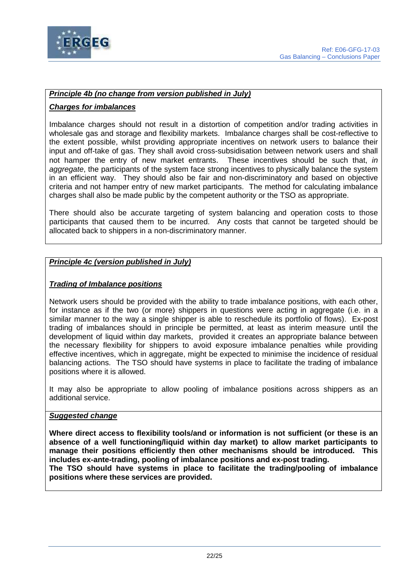

## **Principle 4b (no change from version published in July)**

## **Charges for imbalances**

Imbalance charges should not result in a distortion of competition and/or trading activities in wholesale gas and storage and flexibility markets. Imbalance charges shall be cost-reflective to the extent possible, whilst providing appropriate incentives on network users to balance their input and off-take of gas. They shall avoid cross-subsidisation between network users and shall not hamper the entry of new market entrants. These incentives should be such that, in aggregate, the participants of the system face strong incentives to physically balance the system in an efficient way. They should also be fair and non-discriminatory and based on objective criteria and not hamper entry of new market participants. The method for calculating imbalance charges shall also be made public by the competent authority or the TSO as appropriate.

There should also be accurate targeting of system balancing and operation costs to those participants that caused them to be incurred. Any costs that cannot be targeted should be allocated back to shippers in a non-discriminatory manner.

## **Principle 4c (version published in July)**

## **Trading of Imbalance positions**

Network users should be provided with the ability to trade imbalance positions, with each other, for instance as if the two (or more) shippers in questions were acting in aggregate (i.e. in a similar manner to the way a single shipper is able to reschedule its portfolio of flows). Ex-post trading of imbalances should in principle be permitted, at least as interim measure until the development of liquid within day markets, provided it creates an appropriate balance between the necessary flexibility for shippers to avoid exposure imbalance penalties while providing effective incentives, which in aggregate, might be expected to minimise the incidence of residual balancing actions. The TSO should have systems in place to facilitate the trading of imbalance positions where it is allowed.

It may also be appropriate to allow pooling of imbalance positions across shippers as an additional service.

#### **Suggested change**

**Where direct access to flexibility tools/and or information is not sufficient (or these is an absence of a well functioning/liquid within day market) to allow market participants to manage their positions efficiently then other mechanisms should be introduced. This includes ex-ante-trading, pooling of imbalance positions and ex-post trading.** 

**The TSO should have systems in place to facilitate the trading/pooling of imbalance positions where these services are provided.**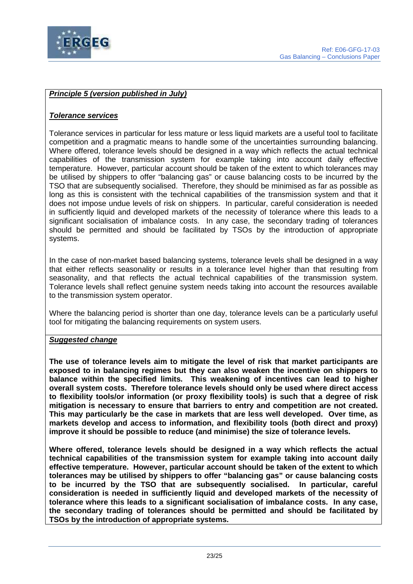

## **Principle 5 (version published in July)**

## **Tolerance services**

Tolerance services in particular for less mature or less liquid markets are a useful tool to facilitate competition and a pragmatic means to handle some of the uncertainties surrounding balancing. Where offered, tolerance levels should be designed in a way which reflects the actual technical capabilities of the transmission system for example taking into account daily effective temperature. However, particular account should be taken of the extent to which tolerances may be utilised by shippers to offer "balancing gas" or cause balancing costs to be incurred by the TSO that are subsequently socialised. Therefore, they should be minimised as far as possible as long as this is consistent with the technical capabilities of the transmission system and that it does not impose undue levels of risk on shippers. In particular, careful consideration is needed in sufficiently liquid and developed markets of the necessity of tolerance where this leads to a significant socialisation of imbalance costs. In any case, the secondary trading of tolerances should be permitted and should be facilitated by TSOs by the introduction of appropriate systems.

In the case of non-market based balancing systems, tolerance levels shall be designed in a way that either reflects seasonality or results in a tolerance level higher than that resulting from seasonality, and that reflects the actual technical capabilities of the transmission system. Tolerance levels shall reflect genuine system needs taking into account the resources available to the transmission system operator.

Where the balancing period is shorter than one day, tolerance levels can be a particularly useful tool for mitigating the balancing requirements on system users.

## **Suggested change**

**The use of tolerance levels aim to mitigate the level of risk that market participants are exposed to in balancing regimes but they can also weaken the incentive on shippers to balance within the specified limits. This weakening of incentives can lead to higher overall system costs. Therefore tolerance levels should only be used where direct access to flexibility tools/or information (or proxy flexibility tools) is such that a degree of risk mitigation is necessary to ensure that barriers to entry and competition are not created. This may particularly be the case in markets that are less well developed. Over time, as markets develop and access to information, and flexibility tools (both direct and proxy) improve it should be possible to reduce (and minimise) the size of tolerance levels.** 

**Where offered, tolerance levels should be designed in a way which reflects the actual technical capabilities of the transmission system for example taking into account daily effective temperature. However, particular account should be taken of the extent to which tolerances may be utilised by shippers to offer "balancing gas" or cause balancing costs to be incurred by the TSO that are subsequently socialised. In particular, careful consideration is needed in sufficiently liquid and developed markets of the necessity of tolerance where this leads to a significant socialisation of imbalance costs. In any case, the secondary trading of tolerances should be permitted and should be facilitated by TSOs by the introduction of appropriate systems.**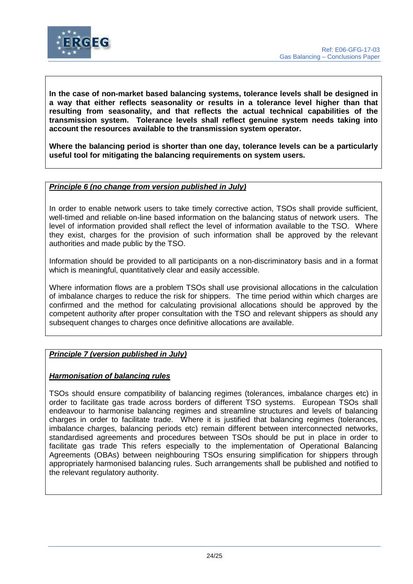

**In the case of non-market based balancing systems, tolerance levels shall be designed in a way that either reflects seasonality or results in a tolerance level higher than that resulting from seasonality, and that reflects the actual technical capabilities of the transmission system. Tolerance levels shall reflect genuine system needs taking into account the resources available to the transmission system operator.** 

**Where the balancing period is shorter than one day, tolerance levels can be a particularly useful tool for mitigating the balancing requirements on system users.** 

## **Principle 6 (no change from version published in July)**

In order to enable network users to take timely corrective action, TSOs shall provide sufficient, well-timed and reliable on-line based information on the balancing status of network users. The level of information provided shall reflect the level of information available to the TSO. Where they exist, charges for the provision of such information shall be approved by the relevant authorities and made public by the TSO.

Information should be provided to all participants on a non-discriminatory basis and in a format which is meaningful, quantitatively clear and easily accessible.

Where information flows are a problem TSOs shall use provisional allocations in the calculation of imbalance charges to reduce the risk for shippers. The time period within which charges are confirmed and the method for calculating provisional allocations should be approved by the competent authority after proper consultation with the TSO and relevant shippers as should any subsequent changes to charges once definitive allocations are available.

## **Principle 7 (version published in July)**

## **Harmonisation of balancing rules**

TSOs should ensure compatibility of balancing regimes (tolerances, imbalance charges etc) in order to facilitate gas trade across borders of different TSO systems. European TSOs shall endeavour to harmonise balancing regimes and streamline structures and levels of balancing charges in order to facilitate trade. Where it is justified that balancing regimes (tolerances, imbalance charges, balancing periods etc) remain different between interconnected networks, standardised agreements and procedures between TSOs should be put in place in order to facilitate gas trade This refers especially to the implementation of Operational Balancing Agreements (OBAs) between neighbouring TSOs ensuring simplification for shippers through appropriately harmonised balancing rules. Such arrangements shall be published and notified to the relevant regulatory authority.